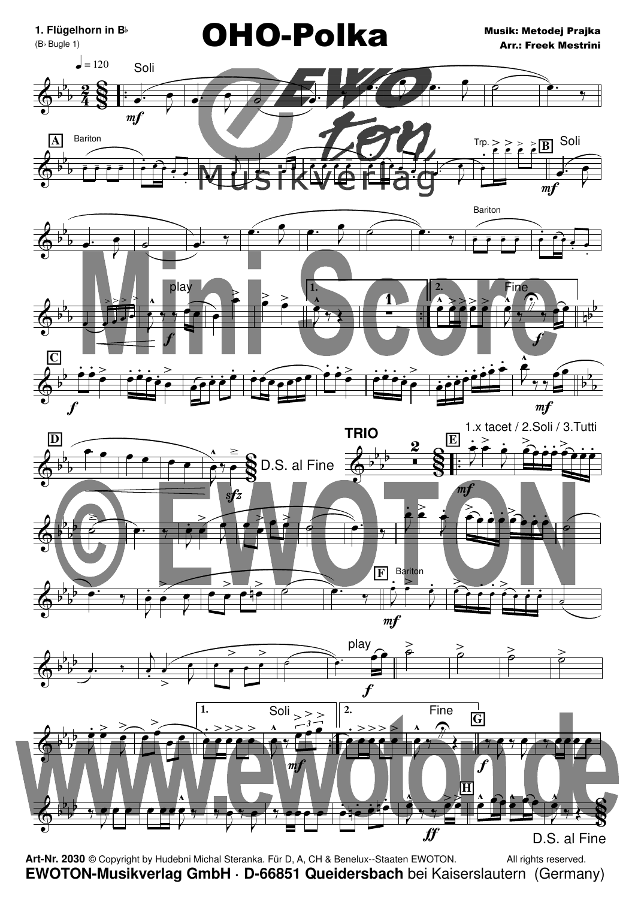

Art-Nr. 2030 © Copyright by Hudebni Michal Steranka. Für D, A, CH & Benelux--Staaten EWOTON. All rights reserved. EWOTON-Musikverlag GmbH · D-66851 Queidersbach bei Kaiserslautern (Germany)